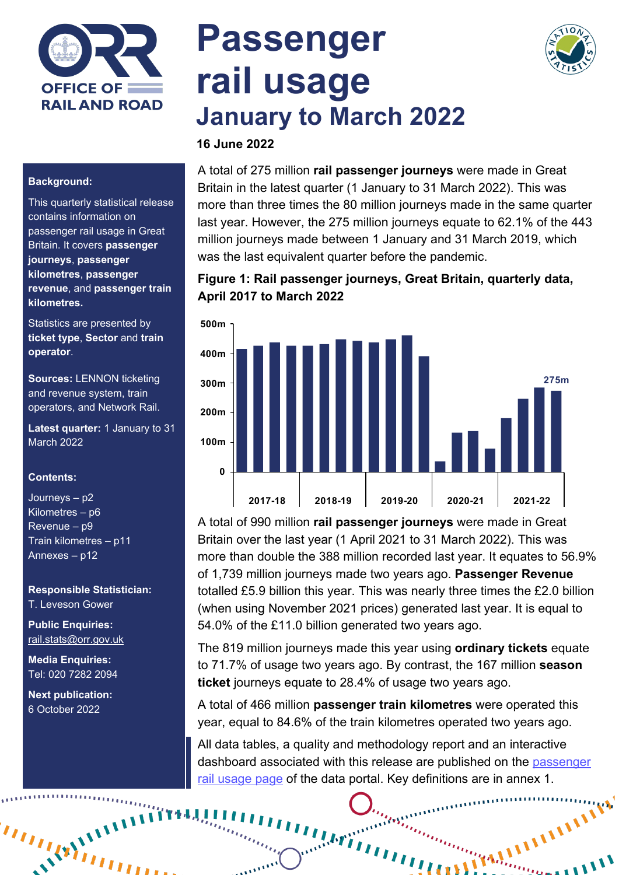

# **Passenger rail usage January to March 2022**



#### **Background:**

This quarterly statistical release contains information on passenger rail usage in Great Britain. It covers **passenger journeys**, **passenger kilometres**, **passenger revenue**, and **passenger train kilometres.**

Statistics are presented by **ticket type**, **Sector** and **train operator**.

**Sources:** LENNON ticketing and revenue system, train operators, and Network Rail.

**Latest quarter:** 1 January to 31 March 2022

#### **Contents:**

Journeys – p2 Kilometres – p6 Revenue – p9 Train kilometres – p11 Annexes – p12

**Responsible Statistician:** T. Leveson Gower

**Public Enquiries:** [rail.stats@orr.gov.uk](mailto:rail.stats@orr.gov.uk)

**Media Enquiries:** Tel: 020 7282 2094

**Next publication:**  6 October 2022

 $\langle \langle v \rangle_{ij}^{(1)}$ 

# **16 June 2022**

A total of 275 million **rail passenger journeys** were made in Great Britain in the latest quarter (1 January to 31 March 2022). This was more than three times the 80 million journeys made in the same quarter last year. However, the 275 million journeys equate to 62.1% of the 443 million journeys made between 1 January and 31 March 2019, which was the last equivalent quarter before the pandemic.

#### **Figure 1: Rail passenger journeys, Great Britain, quarterly data, April 2017 to March 2022**



A total of 990 million **rail passenger journeys** were made in Great Britain over the last year (1 April 2021 to 31 March 2022). This was more than double the 388 million recorded last year. It equates to 56.9% of 1,739 million journeys made two years ago. **Passenger Revenue** totalled £5.9 billion this year. This was nearly three times the £2.0 billion (when using November 2021 prices) generated last year. It is equal to 54.0% of the £11.0 billion generated two years ago.

The 819 million journeys made this year using **ordinary tickets** equate to 71.7% of usage two years ago. By contrast, the 167 million **season ticket** journeys equate to 28.4% of usage two years ago.

A total of 466 million **passenger train kilometres** were operated this year, equal to 84.6% of the train kilometres operated two years ago.

All data tables, a quality and methodology report and an interactive dashboard associated with this release are published on the [passenger](https://dataportal.orr.gov.uk/statistics/usage/passenger-rail-usage/)  [rail usage page](https://dataportal.orr.gov.uk/statistics/usage/passenger-rail-usage/) of the data portal. Key definitions are in annex 1.

**Librition** 

**Community of Community**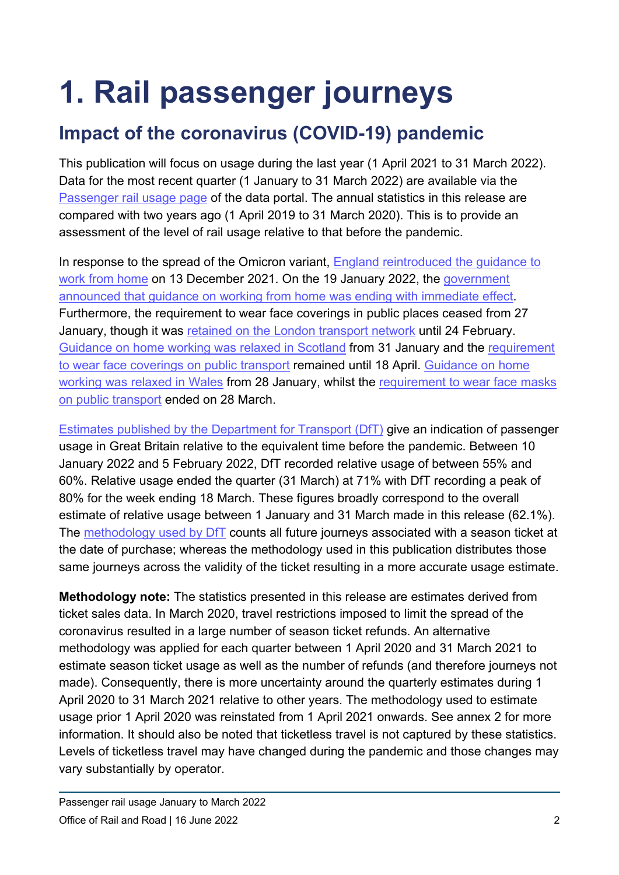# **1. Rail passenger journeys**

# **Impact of the coronavirus (COVID-19) pandemic**

This publication will focus on usage during the last year (1 April 2021 to 31 March 2022). Data for the most recent quarter (1 January to 31 March 2022) are available via the [Passenger rail usage page](https://dataportal.orr.gov.uk/statistics/usage/passenger-rail-usage) of the data portal. The annual statistics in this release are compared with two years ago (1 April 2019 to 31 March 2020). This is to provide an assessment of the level of rail usage relative to that before the pandemic.

In response to the spread of the Omicron variant, England reintroduced the guidance to [work from home](https://www.bbc.co.uk/news/uk-59632424) on 13 December 2021. On the 19 January 2022, the [government](https://www.bbc.co.uk/news/uk-60047438)  [announced that guidance on working from home was ending with immediate effect.](https://www.bbc.co.uk/news/uk-60047438) Furthermore, the requirement to wear face coverings in public places ceased from 27 January, though it was [retained on the London transport network](https://www.bbc.co.uk/news/uk-england-london-60494230) until 24 February. [Guidance on home working was relaxed in Scotland](https://www.bbc.co.uk/news/uk-scotland-60130299) from 31 January and the [requirement](https://www.bbc.co.uk/news/uk-scotland-61139581)  [to wear face coverings on public transport](https://www.bbc.co.uk/news/uk-scotland-61139581) remained until 18 April. [Guidance on home](https://www.bbc.co.uk/news/uk-wales-politics-60155644)  [working was relaxed in Wales](https://www.bbc.co.uk/news/uk-wales-politics-60155644) from 28 January, whilst the [requirement to wear face masks](https://www.bbc.co.uk/news/uk-wales-60875244)  [on public transport](https://www.bbc.co.uk/news/uk-wales-60875244) ended on 28 March.

[Estimates published by the Department for Transport \(DfT\)](https://www.gov.uk/government/statistics/transport-use-during-the-coronavirus-covid-19-pandemic) give an indication of passenger usage in Great Britain relative to the equivalent time before the pandemic. Between 10 January 2022 and 5 February 2022, DfT recorded relative usage of between 55% and 60%. Relative usage ended the quarter (31 March) at 71% with DfT recording a peak of 80% for the week ending 18 March. These figures broadly correspond to the overall estimate of relative usage between 1 January and 31 March made in this release (62.1%). The [methodology used by DfT](https://www.gov.uk/government/statistics/transport-use-during-the-coronavirus-covid-19-pandemic/covid-19-transport-data-methodology-note#rail-passenger-journeys) counts all future journeys associated with a season ticket at the date of purchase; whereas the methodology used in this publication distributes those same journeys across the validity of the ticket resulting in a more accurate usage estimate.

**Methodology note:** The statistics presented in this release are estimates derived from ticket sales data. In March 2020, travel restrictions imposed to limit the spread of the coronavirus resulted in a large number of season ticket refunds. An alternative methodology was applied for each quarter between 1 April 2020 and 31 March 2021 to estimate season ticket usage as well as the number of refunds (and therefore journeys not made). Consequently, there is more uncertainty around the quarterly estimates during 1 April 2020 to 31 March 2021 relative to other years. The methodology used to estimate usage prior 1 April 2020 was reinstated from 1 April 2021 onwards. See annex 2 for more information. It should also be noted that ticketless travel is not captured by these statistics. Levels of ticketless travel may have changed during the pandemic and those changes may vary substantially by operator.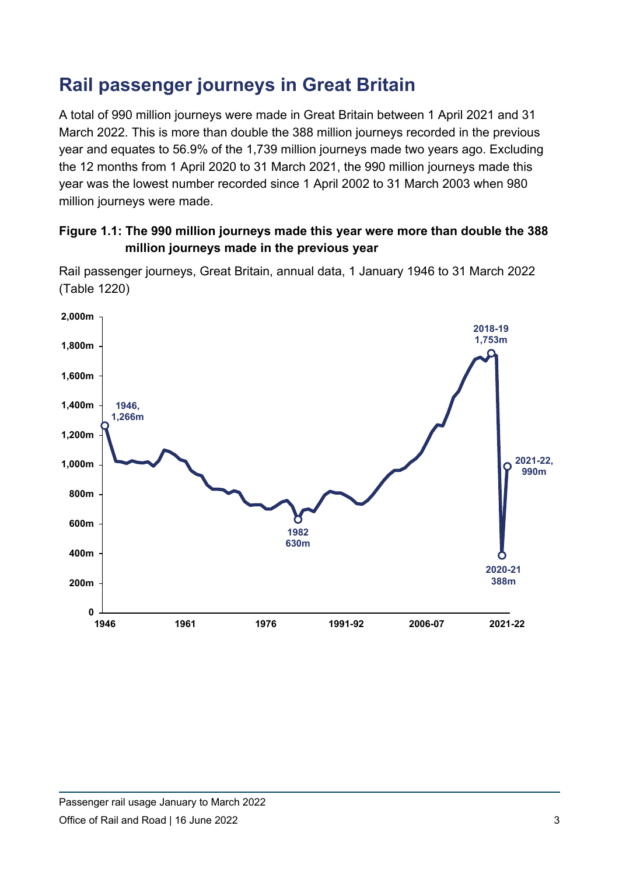# **Rail passenger journeys in Great Britain**

A total of 990 million journeys were made in Great Britain between 1 April 2021 and 31 March 2022. This is more than double the 388 million journeys recorded in the previous year and equates to 56.9% of the 1,739 million journeys made two years ago. Excluding the 12 months from 1 April 2020 to 31 March 2021, the 990 million journeys made this year was the lowest number recorded since 1 April 2002 to 31 March 2003 when 980 million journeys were made.

### **Figure 1.1: The 990 million journeys made this year were more than double the 388 million journeys made in the previous year**



Rail passenger journeys, Great Britain, annual data, 1 January 1946 to 31 March 2022 (Table 1220)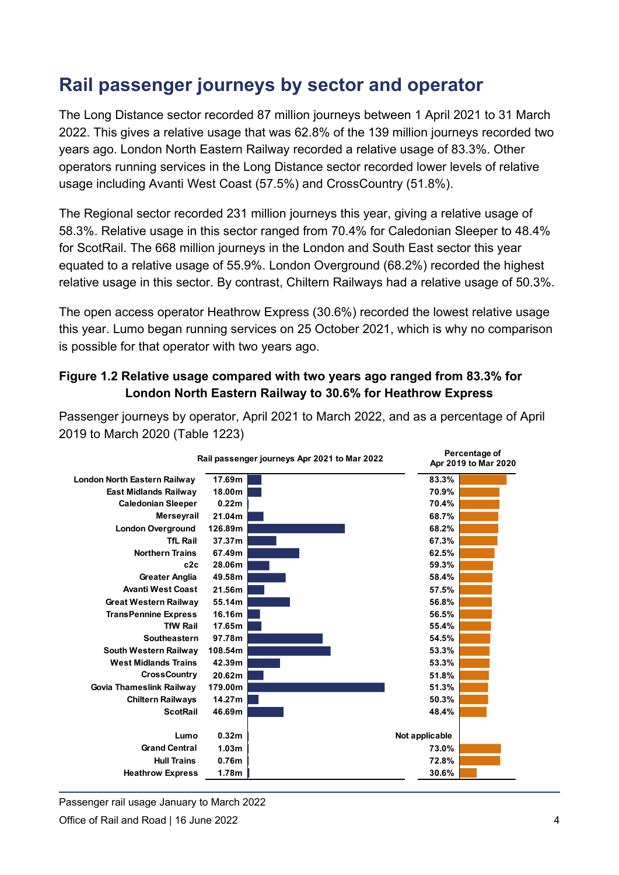## **Rail passenger journeys by sector and operator**

The Long Distance sector recorded 87 million journeys between 1 April 2021 to 31 March 2022. This gives a relative usage that was 62.8% of the 139 million journeys recorded two years ago. London North Eastern Railway recorded a relative usage of 83.3%. Other operators running services in the Long Distance sector recorded lower levels of relative usage including Avanti West Coast (57.5%) and CrossCountry (51.8%).

The Regional sector recorded 231 million journeys this year, giving a relative usage of 58.3%. Relative usage in this sector ranged from 70.4% for Caledonian Sleeper to 48.4% for ScotRail. The 668 million journeys in the London and South East sector this year equated to a relative usage of 55.9%. London Overground (68.2%) recorded the highest relative usage in this sector. By contrast, Chiltern Railways had a relative usage of 50.3%.

The open access operator Heathrow Express (30.6%) recorded the lowest relative usage this year. Lumo began running services on 25 October 2021, which is why no comparison is possible for that operator with two years ago.

#### **Figure 1.2 Relative usage compared with two years ago ranged from 83.3% for London North Eastern Railway to 30.6% for Heathrow Express**



Passenger journeys by operator, April 2021 to March 2022, and as a percentage of April 2019 to March 2020 (Table 1223)

Passenger rail usage January to March 2022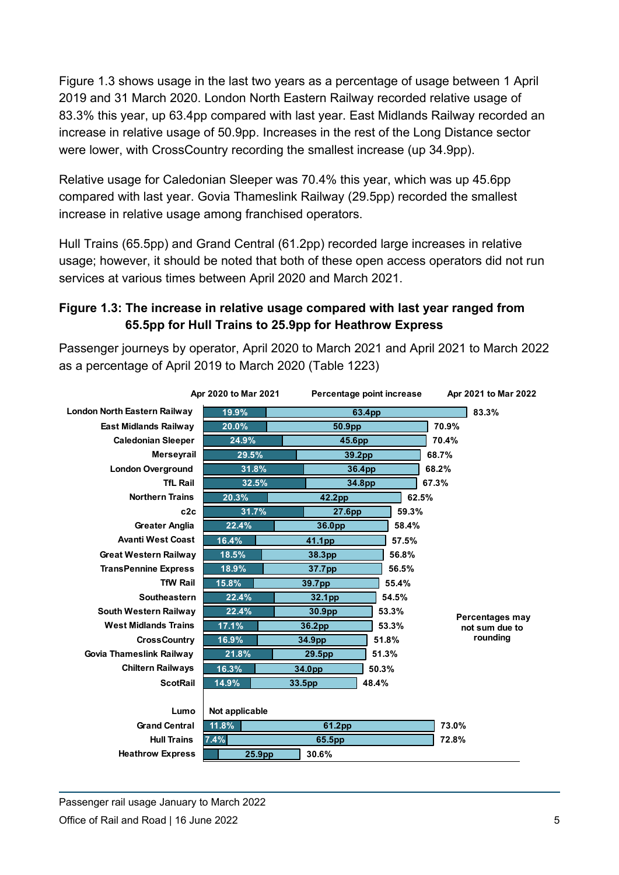Figure 1.3 shows usage in the last two years as a percentage of usage between 1 April 2019 and 31 March 2020. London North Eastern Railway recorded relative usage of 83.3% this year, up 63.4pp compared with last year. East Midlands Railway recorded an increase in relative usage of 50.9pp. Increases in the rest of the Long Distance sector were lower, with CrossCountry recording the smallest increase (up 34.9pp).

Relative usage for Caledonian Sleeper was 70.4% this year, which was up 45.6pp compared with last year. Govia Thameslink Railway (29.5pp) recorded the smallest increase in relative usage among franchised operators.

Hull Trains (65.5pp) and Grand Central (61.2pp) recorded large increases in relative usage; however, it should be noted that both of these open access operators did not run services at various times between April 2020 and March 2021.

### **Figure 1.3: The increase in relative usage compared with last year ranged from 65.5pp for Hull Trains to 25.9pp for Heathrow Express**

Passenger journeys by operator, April 2020 to March 2021 and April 2021 to March 2022 as a percentage of April 2019 to March 2020 (Table 1223)

| Apr 2020 to Mar 2021                |                 |        | Percentage point increase | Apr 2021 to Mar 2022 |
|-------------------------------------|-----------------|--------|---------------------------|----------------------|
| <b>London North Eastern Railway</b> | 19.9%<br>63.4pp |        | 83.3%                     |                      |
| <b>East Midlands Railway</b>        | 20.0%<br>50.9pp |        |                           | 70.9%                |
| <b>Caledonian Sleeper</b>           | 24.9%           | 45.6pp |                           | 70.4%                |
| <b>Merseyrail</b>                   | 29.5%           | 39.2pp |                           | 68.7%                |
| <b>London Overground</b>            | 31.8%           | 36.4pp |                           | 68.2%                |
| <b>TfL Rail</b>                     | 32.5%           | 34.8pp |                           | 67.3%                |
| <b>Northern Trains</b>              | 20.3%           | 42.2pp | 62.5%                     |                      |
| c2c                                 | 31.7%           | 27.6pp | 59.3%                     |                      |
| <b>Greater Anglia</b>               | 22.4%           | 36.0pp | 58.4%                     |                      |
| <b>Avanti West Coast</b>            | 16.4%           | 41.1pp | 57.5%                     |                      |
| <b>Great Western Railway</b>        | 18.5%           | 38.3pp | 56.8%                     |                      |
| <b>TransPennine Express</b>         | 18.9%           | 37.7pp | 56.5%                     |                      |
| <b>TfW Rail</b>                     | 15.8%           | 39.7pp | 55.4%                     |                      |
| Southeastern                        | 22.4%           | 32.1pp | 54.5%                     |                      |
| <b>South Western Railway</b>        | 22.4%           | 30.9pp | 53.3%                     | Percentages may      |
| <b>West Midlands Trains</b>         | 17.1%           | 36.2pp | 53.3%                     | not sum due to       |
| <b>CrossCountry</b>                 | 16.9%           | 34.9pp | 51.8%                     | rounding             |
| Govia Thameslink Railway            | 21.8%           | 29.5pp | 51.3%                     |                      |
| <b>Chiltern Railways</b>            | 16.3%           | 34.0pp | 50.3%                     |                      |
| <b>ScotRail</b>                     | 14.9%           | 33.5pp | 48.4%                     |                      |
|                                     |                 |        |                           |                      |
| Lumo                                | Not applicable  |        |                           |                      |
| <b>Grand Central</b>                | 11.8%<br>61.2pp |        |                           | 73.0%                |
| <b>Hull Trains</b>                  | 7.4%<br>65.5pp  |        |                           | 72.8%                |
| <b>Heathrow Express</b>             | 25.9pp          | 30.6%  |                           |                      |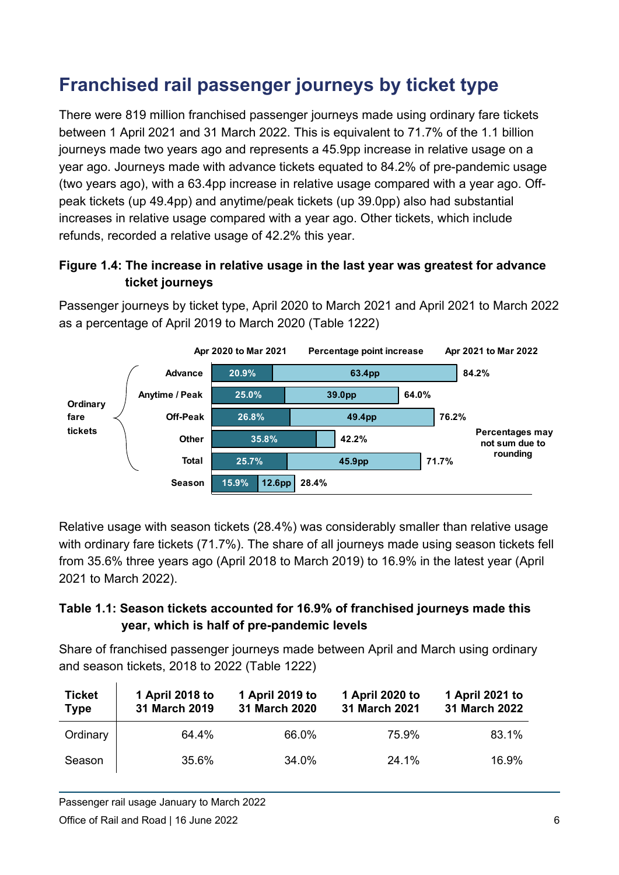# **Franchised rail passenger journeys by ticket type**

There were 819 million franchised passenger journeys made using ordinary fare tickets between 1 April 2021 and 31 March 2022. This is equivalent to 71.7% of the 1.1 billion journeys made two years ago and represents a 45.9pp increase in relative usage on a year ago. Journeys made with advance tickets equated to 84.2% of pre-pandemic usage (two years ago), with a 63.4pp increase in relative usage compared with a year ago. Offpeak tickets (up 49.4pp) and anytime/peak tickets (up 39.0pp) also had substantial increases in relative usage compared with a year ago. Other tickets, which include refunds, recorded a relative usage of 42.2% this year.

### **Figure 1.4: The increase in relative usage in the last year was greatest for advance ticket journeys**

Passenger journeys by ticket type, April 2020 to March 2021 and April 2021 to March 2022 as a percentage of April 2019 to March 2020 (Table 1222)



Relative usage with season tickets (28.4%) was considerably smaller than relative usage with ordinary fare tickets (71.7%). The share of all journeys made using season tickets fell from 35.6% three years ago (April 2018 to March 2019) to 16.9% in the latest year (April 2021 to March 2022).

### **Table 1.1: Season tickets accounted for 16.9% of franchised journeys made this year, which is half of pre-pandemic levels**

Share of franchised passenger journeys made between April and March using ordinary and season tickets, 2018 to 2022 (Table 1222)

| <b>Ticket</b><br><b>Type</b> | 1 April 2018 to<br>31 March 2019 | 1 April 2019 to<br>31 March 2020 | 1 April 2020 to<br>31 March 2021 | 1 April 2021 to<br>31 March 2022 |
|------------------------------|----------------------------------|----------------------------------|----------------------------------|----------------------------------|
| Ordinary                     | 64.4%                            | 66.0%                            | 75.9%                            | 83.1%                            |
| Season                       | 35.6%                            | 34.0%                            | 24.1%                            | 16.9%                            |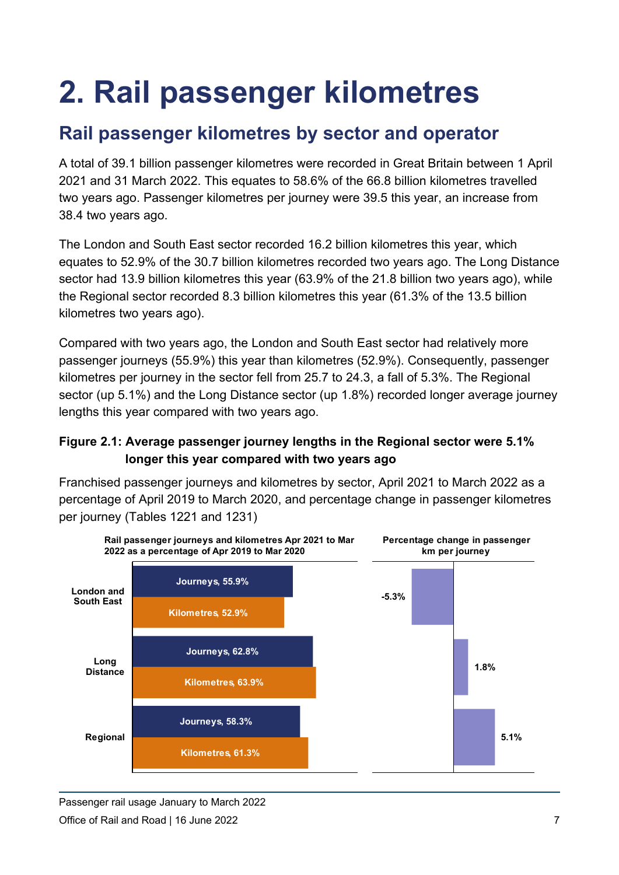# **2. Rail passenger kilometres**

## **Rail passenger kilometres by sector and operator**

A total of 39.1 billion passenger kilometres were recorded in Great Britain between 1 April 2021 and 31 March 2022. This equates to 58.6% of the 66.8 billion kilometres travelled two years ago. Passenger kilometres per journey were 39.5 this year, an increase from 38.4 two years ago.

The London and South East sector recorded 16.2 billion kilometres this year, which equates to 52.9% of the 30.7 billion kilometres recorded two years ago. The Long Distance sector had 13.9 billion kilometres this year (63.9% of the 21.8 billion two years ago), while the Regional sector recorded 8.3 billion kilometres this year (61.3% of the 13.5 billion kilometres two years ago).

Compared with two years ago, the London and South East sector had relatively more passenger journeys (55.9%) this year than kilometres (52.9%). Consequently, passenger kilometres per journey in the sector fell from 25.7 to 24.3, a fall of 5.3%. The Regional sector (up 5.1%) and the Long Distance sector (up 1.8%) recorded longer average journey lengths this year compared with two years ago.

### **Figure 2.1: Average passenger journey lengths in the Regional sector were 5.1% longer this year compared with two years ago**

Franchised passenger journeys and kilometres by sector, April 2021 to March 2022 as a percentage of April 2019 to March 2020, and percentage change in passenger kilometres per journey (Tables 1221 and 1231)



Passenger rail usage January to March 2022 Office of Rail and Road | 16 June 2022 7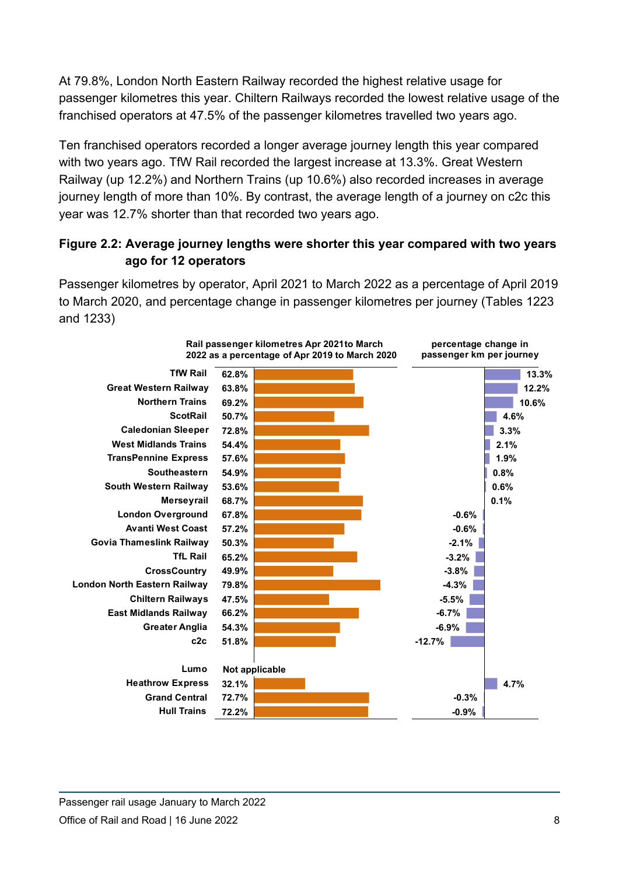At 79.8%, London North Eastern Railway recorded the highest relative usage for passenger kilometres this year. Chiltern Railways recorded the lowest relative usage of the franchised operators at 47.5% of the passenger kilometres travelled two years ago.

Ten franchised operators recorded a longer average journey length this year compared with two years ago. TfW Rail recorded the largest increase at 13.3%. Great Western Railway (up 12.2%) and Northern Trains (up 10.6%) also recorded increases in average journey length of more than 10%. By contrast, the average length of a journey on c2c this year was 12.7% shorter than that recorded two years ago.

### **Figure 2.2: Average journey lengths were shorter this year compared with two years ago for 12 operators**

Passenger kilometres by operator, April 2021 to March 2022 as a percentage of April 2019 to March 2020, and percentage change in passenger kilometres per journey (Tables 1223 and 1233)

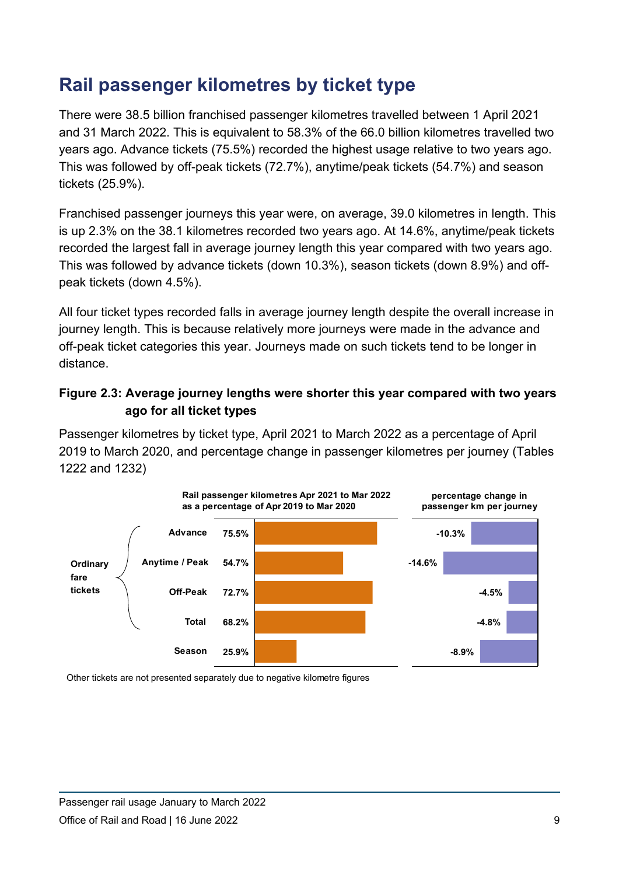## **Rail passenger kilometres by ticket type**

There were 38.5 billion franchised passenger kilometres travelled between 1 April 2021 and 31 March 2022. This is equivalent to 58.3% of the 66.0 billion kilometres travelled two years ago. Advance tickets (75.5%) recorded the highest usage relative to two years ago. This was followed by off-peak tickets (72.7%), anytime/peak tickets (54.7%) and season tickets (25.9%).

Franchised passenger journeys this year were, on average, 39.0 kilometres in length. This is up 2.3% on the 38.1 kilometres recorded two years ago. At 14.6%, anytime/peak tickets recorded the largest fall in average journey length this year compared with two years ago. This was followed by advance tickets (down 10.3%), season tickets (down 8.9%) and offpeak tickets (down 4.5%).

All four ticket types recorded falls in average journey length despite the overall increase in journey length. This is because relatively more journeys were made in the advance and off-peak ticket categories this year. Journeys made on such tickets tend to be longer in distance.

### **Figure 2.3: Average journey lengths were shorter this year compared with two years ago for all ticket types**

Passenger kilometres by ticket type, April 2021 to March 2022 as a percentage of April 2019 to March 2020, and percentage change in passenger kilometres per journey (Tables 1222 and 1232)



Other tickets are not presented separately due to negative kilometre figures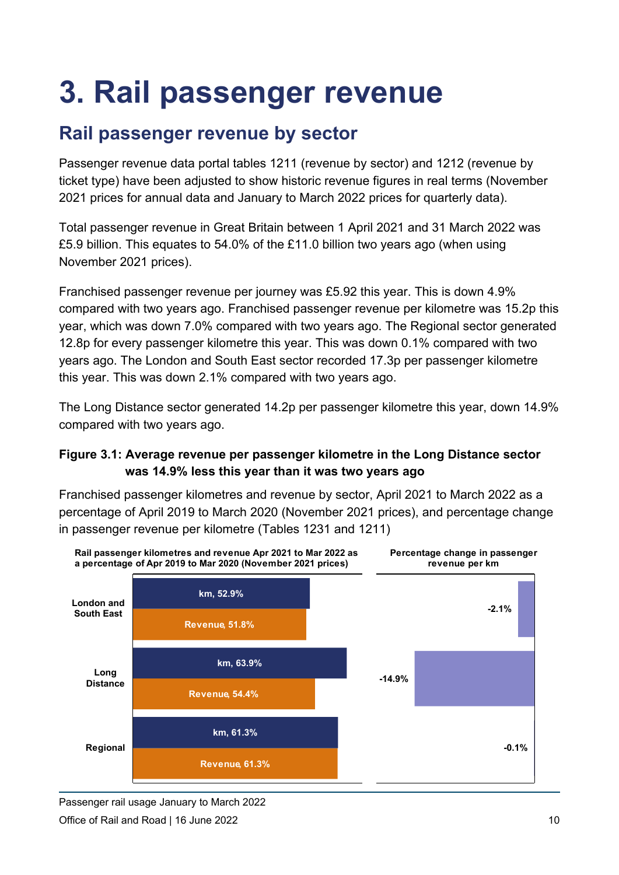# **3. Rail passenger revenue**

## **Rail passenger revenue by sector**

Passenger revenue data portal tables 1211 (revenue by sector) and 1212 (revenue by ticket type) have been adjusted to show historic revenue figures in real terms (November 2021 prices for annual data and January to March 2022 prices for quarterly data).

Total passenger revenue in Great Britain between 1 April 2021 and 31 March 2022 was £5.9 billion. This equates to 54.0% of the £11.0 billion two years ago (when using November 2021 prices).

Franchised passenger revenue per journey was £5.92 this year. This is down 4.9% compared with two years ago. Franchised passenger revenue per kilometre was 15.2p this year, which was down 7.0% compared with two years ago. The Regional sector generated 12.8p for every passenger kilometre this year. This was down 0.1% compared with two years ago. The London and South East sector recorded 17.3p per passenger kilometre this year. This was down 2.1% compared with two years ago.

The Long Distance sector generated 14.2p per passenger kilometre this year, down 14.9% compared with two years ago.

### **Figure 3.1: Average revenue per passenger kilometre in the Long Distance sector was 14.9% less this year than it was two years ago**

Franchised passenger kilometres and revenue by sector, April 2021 to March 2022 as a percentage of April 2019 to March 2020 (November 2021 prices), and percentage change in passenger revenue per kilometre (Tables 1231 and 1211)



Passenger rail usage January to March 2022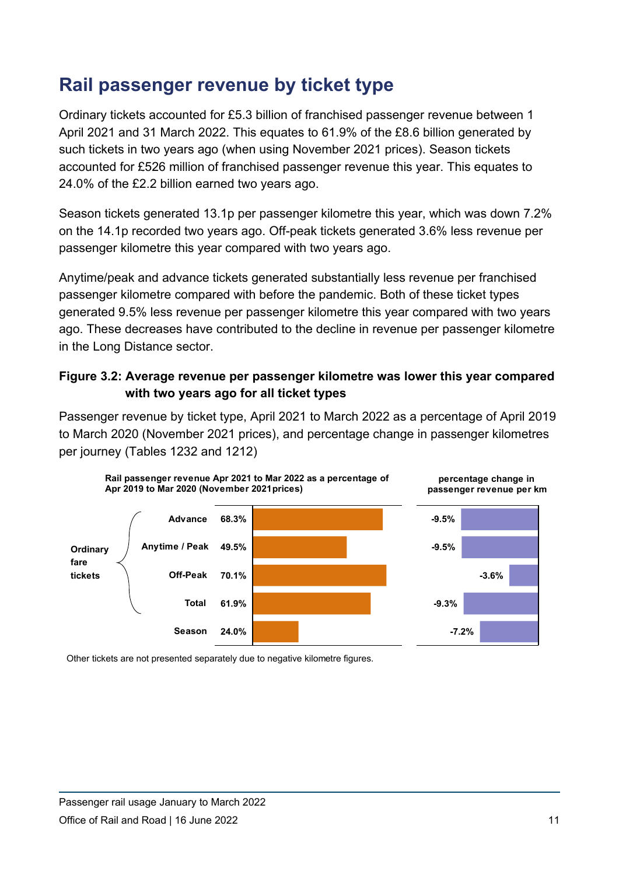## **Rail passenger revenue by ticket type**

Ordinary tickets accounted for £5.3 billion of franchised passenger revenue between 1 April 2021 and 31 March 2022. This equates to 61.9% of the £8.6 billion generated by such tickets in two years ago (when using November 2021 prices). Season tickets accounted for £526 million of franchised passenger revenue this year. This equates to 24.0% of the £2.2 billion earned two years ago.

Season tickets generated 13.1p per passenger kilometre this year, which was down 7.2% on the 14.1p recorded two years ago. Off-peak tickets generated 3.6% less revenue per passenger kilometre this year compared with two years ago.

Anytime/peak and advance tickets generated substantially less revenue per franchised passenger kilometre compared with before the pandemic. Both of these ticket types generated 9.5% less revenue per passenger kilometre this year compared with two years ago. These decreases have contributed to the decline in revenue per passenger kilometre in the Long Distance sector.

### **Figure 3.2: Average revenue per passenger kilometre was lower this year compared with two years ago for all ticket types**

Passenger revenue by ticket type, April 2021 to March 2022 as a percentage of April 2019 to March 2020 (November 2021 prices), and percentage change in passenger kilometres per journey (Tables 1232 and 1212)



Other tickets are not presented separately due to negative kilometre figures.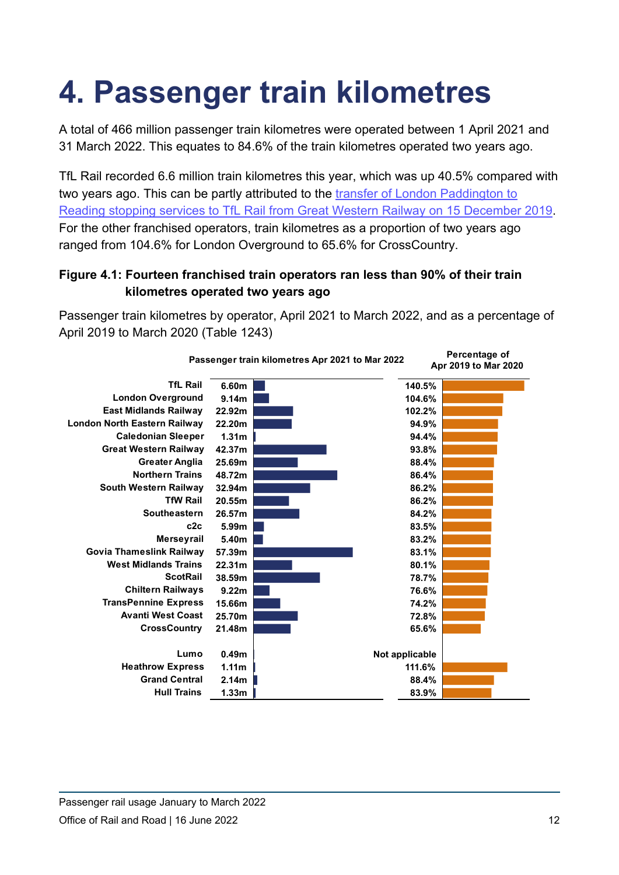# **4. Passenger train kilometres**

A total of 466 million passenger train kilometres were operated between 1 April 2021 and 31 March 2022. This equates to 84.6% of the train kilometres operated two years ago.

TfL Rail recorded 6.6 million train kilometres this year, which was up 40.5% compared with two years ago. This can be partly attributed to the [transfer of London Paddington to](https://tfl.gov.uk/info-for/media/press-releases/2019/december/tfl-rail-will-operate-services-to-reading-from-15-december)  [Reading stopping services to TfL Rail from Great Western](https://tfl.gov.uk/info-for/media/press-releases/2019/december/tfl-rail-will-operate-services-to-reading-from-15-december) Railway on 15 December 2019. For the other franchised operators, train kilometres as a proportion of two years ago ranged from 104.6% for London Overground to 65.6% for CrossCountry.

### **Figure 4.1: Fourteen franchised train operators ran less than 90% of their train kilometres operated two years ago**

Passenger train kilometres by operator, April 2021 to March 2022, and as a percentage of April 2019 to March 2020 (Table 1243)

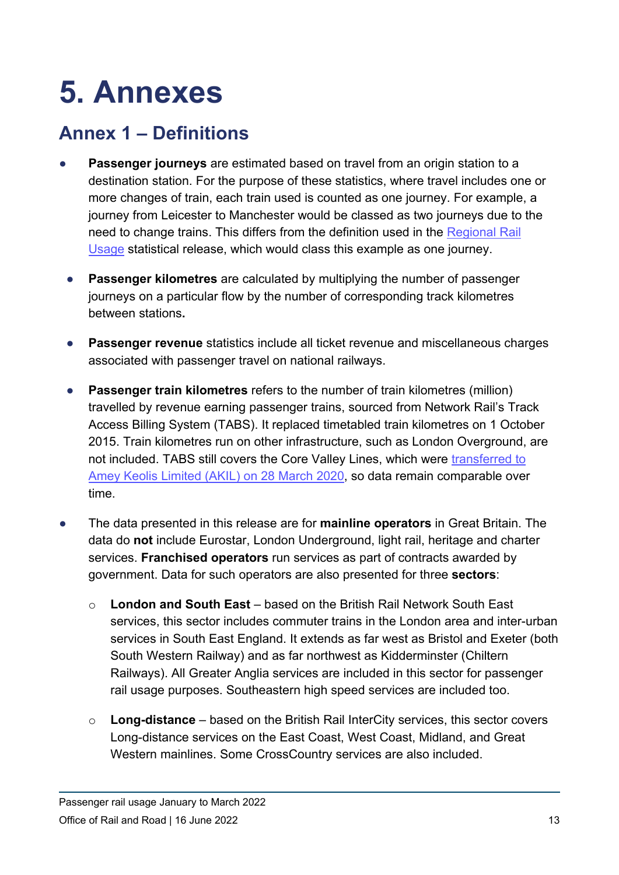# **5. Annexes**

## **Annex 1 – Definitions**

- **Passenger journeys** are estimated based on travel from an origin station to a destination station. For the purpose of these statistics, where travel includes one or more changes of train, each train used is counted as one journey. For example, a journey from Leicester to Manchester would be classed as two journeys due to the need to change trains. This differs from the definition used in the Regional Rail [Usage](https://dataportal.orr.gov.uk/statistics/usage/regional-rail-usage/) statistical release, which would class this example as one journey.
- **Passenger kilometres** are calculated by multiplying the number of passenger journeys on a particular flow by the number of corresponding track kilometres between stations**.**
- **Passenger revenue** statistics include all ticket revenue and miscellaneous charges associated with passenger travel on national railways.
- **Passenger train kilometres** refers to the number of train kilometres (million) travelled by revenue earning passenger trains, sourced from Network Rail's Track Access Billing System (TABS). It replaced timetabled train kilometres on 1 October 2015. Train kilometres run on other infrastructure, such as London Overground, are not included. TABS still covers the Core Valley Lines, which were transferred to [Amey Keolis Limited \(AKIL\) on 28 March 2020,](https://tfwrail.wales/about-us/metro/core-valley-lines-infrastructure-manager) so data remain comparable over time.
- The data presented in this release are for **mainline operators** in Great Britain. The data do **not** include Eurostar, London Underground, light rail, heritage and charter services. **Franchised operators** run services as part of contracts awarded by government. Data for such operators are also presented for three **sectors**:
	- o **London and South East** based on the British Rail Network South East services, this sector includes commuter trains in the London area and inter-urban services in South East England. It extends as far west as Bristol and Exeter (both South Western Railway) and as far northwest as Kidderminster (Chiltern Railways). All Greater Anglia services are included in this sector for passenger rail usage purposes. Southeastern high speed services are included too.
	- o **Long-distance** based on the British Rail InterCity services, this sector covers Long-distance services on the East Coast, West Coast, Midland, and Great Western mainlines. Some CrossCountry services are also included.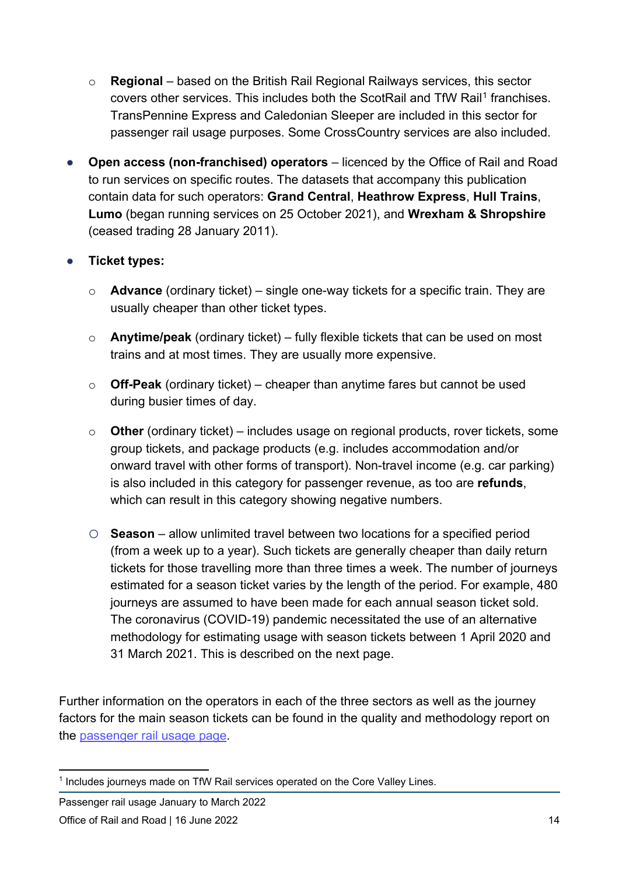- o **Regional** based on the British Rail Regional Railways services, this sector covers other services. This includes both the ScotRail and TfW Rail<sup>[1](#page-13-0)</sup> franchises. TransPennine Express and Caledonian Sleeper are included in this sector for passenger rail usage purposes. Some CrossCountry services are also included.
- **Open access (non-franchised) operators** licenced by the Office of Rail and Road to run services on specific routes. The datasets that accompany this publication contain data for such operators: **Grand Central**, **Heathrow Express**, **Hull Trains**, **Lumo** (began running services on 25 October 2021), and **Wrexham & Shropshire** (ceased trading 28 January 2011).

#### ● **Ticket types:**

- o **Advance** (ordinary ticket) single one-way tickets for a specific train. They are usually cheaper than other ticket types.
- o **Anytime/peak** (ordinary ticket) fully flexible tickets that can be used on most trains and at most times. They are usually more expensive.
- o **Off-Peak** (ordinary ticket) cheaper than anytime fares but cannot be used during busier times of day.
- o **Other** (ordinary ticket) includes usage on regional products, rover tickets, some group tickets, and package products (e.g. includes accommodation and/or onward travel with other forms of transport). Non-travel income (e.g. car parking) is also included in this category for passenger revenue, as too are **refunds**, which can result in this category showing negative numbers.
- o **Season** allow unlimited travel between two locations for a specified period (from a week up to a year). Such tickets are generally cheaper than daily return tickets for those travelling more than three times a week. The number of journeys estimated for a season ticket varies by the length of the period. For example, 480 journeys are assumed to have been made for each annual season ticket sold. The coronavirus (COVID-19) pandemic necessitated the use of an alternative methodology for estimating usage with season tickets between 1 April 2020 and 31 March 2021. This is described on the next page.

Further information on the operators in each of the three sectors as well as the journey factors for the main season tickets can be found in the quality and methodology report on the [passenger rail usage page.](https://dataportal.orr.gov.uk/statistics/usage/passenger-rail-usage)

Passenger rail usage January to March 2022

<span id="page-13-0"></span><sup>&</sup>lt;sup>1</sup> Includes journeys made on TfW Rail services operated on the Core Valley Lines.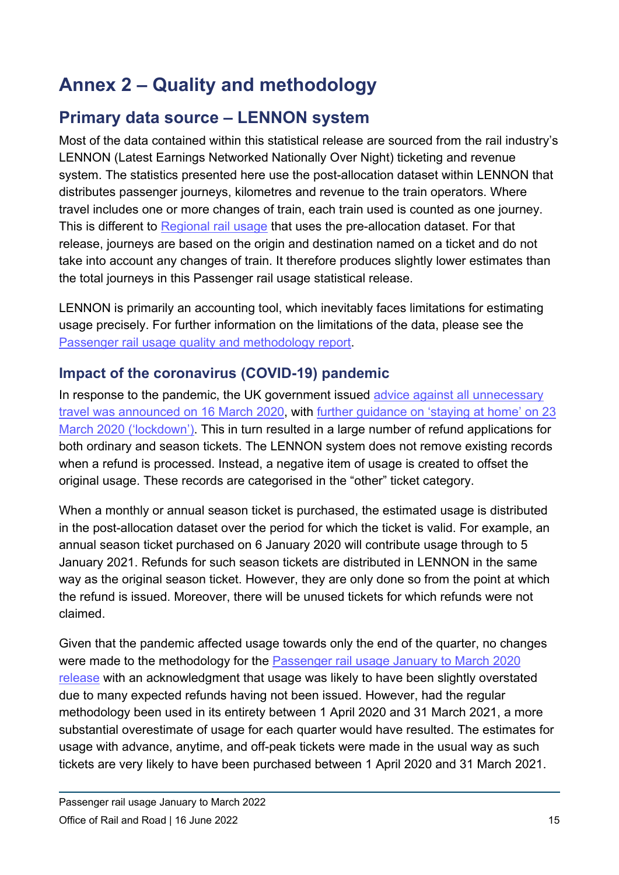# **Annex 2 – Quality and methodology**

## **Primary data source – LENNON system**

Most of the data contained within this statistical release are sourced from the rail industry's LENNON (Latest Earnings Networked Nationally Over Night) ticketing and revenue system. The statistics presented here use the post-allocation dataset within LENNON that distributes passenger journeys, kilometres and revenue to the train operators. Where travel includes one or more changes of train, each train used is counted as one journey. This is different to [Regional rail usage](https://dataportal.orr.gov.uk/statistics/usage/regional-rail-usage/) that uses the pre-allocation dataset. For that release, journeys are based on the origin and destination named on a ticket and do not take into account any changes of train. It therefore produces slightly lower estimates than the total journeys in this Passenger rail usage statistical release.

LENNON is primarily an accounting tool, which inevitably faces limitations for estimating usage precisely. For further information on the limitations of the data, please see the [Passenger rail usage quality and methodology report.](https://dataportal.orr.gov.uk/media/1234/passenger-usage-quality-report.pdf)

## **Impact of the coronavirus (COVID-19) pandemic**

In response to the pandemic, the UK government issued advice against all unnecessary [travel was announced on 16 March 2020,](https://www.gov.uk/government/speeches/pm-statement-on-coronavirus-16-march-2020) with [further guidance on 'staying at home' on 23](https://www.gov.uk/government/speeches/pm-address-to-the-nation-on-coronavirus-23-march-2020)  [March 2020 \('lockdown'\).](https://www.gov.uk/government/speeches/pm-address-to-the-nation-on-coronavirus-23-march-2020) This in turn resulted in a large number of refund applications for both ordinary and season tickets. The LENNON system does not remove existing records when a refund is processed. Instead, a negative item of usage is created to offset the original usage. These records are categorised in the "other" ticket category.

When a monthly or annual season ticket is purchased, the estimated usage is distributed in the post-allocation dataset over the period for which the ticket is valid. For example, an annual season ticket purchased on 6 January 2020 will contribute usage through to 5 January 2021. Refunds for such season tickets are distributed in LENNON in the same way as the original season ticket. However, they are only done so from the point at which the refund is issued. Moreover, there will be unused tickets for which refunds were not claimed.

Given that the pandemic affected usage towards only the end of the quarter, no changes were made to the methodology for the [Passenger rail usage January to March 2020](https://dataportal.orr.gov.uk/media/1740/passenger-rail-usage-2019-20-q4.pdf)  [release](https://dataportal.orr.gov.uk/media/1740/passenger-rail-usage-2019-20-q4.pdf) with an acknowledgment that usage was likely to have been slightly overstated due to many expected refunds having not been issued. However, had the regular methodology been used in its entirety between 1 April 2020 and 31 March 2021, a more substantial overestimate of usage for each quarter would have resulted. The estimates for usage with advance, anytime, and off-peak tickets were made in the usual way as such tickets are very likely to have been purchased between 1 April 2020 and 31 March 2021.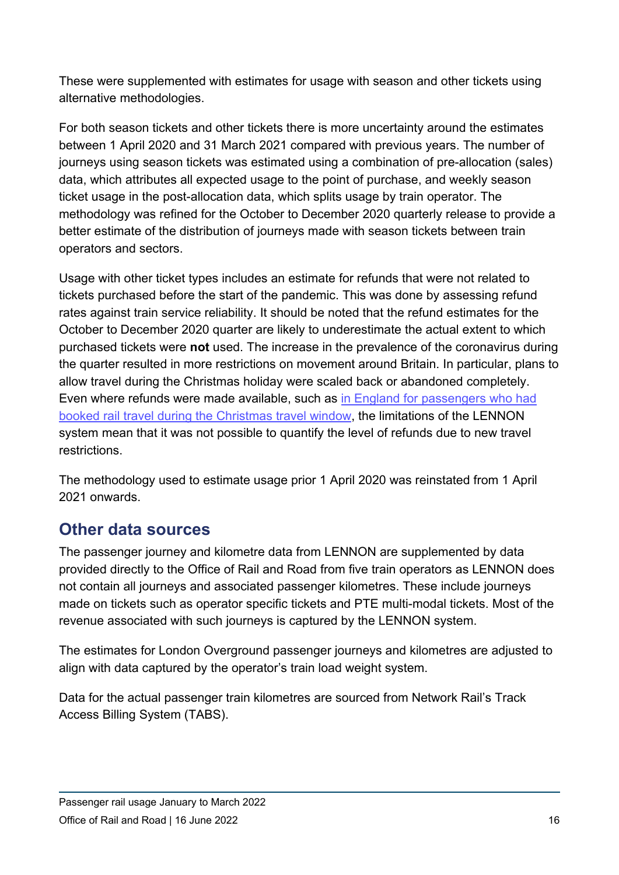These were supplemented with estimates for usage with season and other tickets using alternative methodologies.

For both season tickets and other tickets there is more uncertainty around the estimates between 1 April 2020 and 31 March 2021 compared with previous years. The number of journeys using season tickets was estimated using a combination of pre-allocation (sales) data, which attributes all expected usage to the point of purchase, and weekly season ticket usage in the post-allocation data, which splits usage by train operator. The methodology was refined for the October to December 2020 quarterly release to provide a better estimate of the distribution of journeys made with season tickets between train operators and sectors.

Usage with other ticket types includes an estimate for refunds that were not related to tickets purchased before the start of the pandemic. This was done by assessing refund rates against train service reliability. It should be noted that the refund estimates for the October to December 2020 quarter are likely to underestimate the actual extent to which purchased tickets were **not** used. The increase in the prevalence of the coronavirus during the quarter resulted in more restrictions on movement around Britain. In particular, plans to allow travel during the Christmas holiday were scaled back or abandoned completely. Even where refunds were made available, such as [in England for passengers who had](https://www.theguardian.com/world/2020/dec/21/passengers-england-refunds-cancelled-christmas-travel-covid)  [booked rail travel during the Christmas travel window,](https://www.theguardian.com/world/2020/dec/21/passengers-england-refunds-cancelled-christmas-travel-covid) the limitations of the LENNON system mean that it was not possible to quantify the level of refunds due to new travel restrictions.

The methodology used to estimate usage prior 1 April 2020 was reinstated from 1 April 2021 onwards.

## **Other data sources**

The passenger journey and kilometre data from LENNON are supplemented by data provided directly to the Office of Rail and Road from five train operators as LENNON does not contain all journeys and associated passenger kilometres. These include journeys made on tickets such as operator specific tickets and PTE multi-modal tickets. Most of the revenue associated with such journeys is captured by the LENNON system.

The estimates for London Overground passenger journeys and kilometres are adjusted to align with data captured by the operator's train load weight system.

Data for the actual passenger train kilometres are sourced from Network Rail's Track Access Billing System (TABS).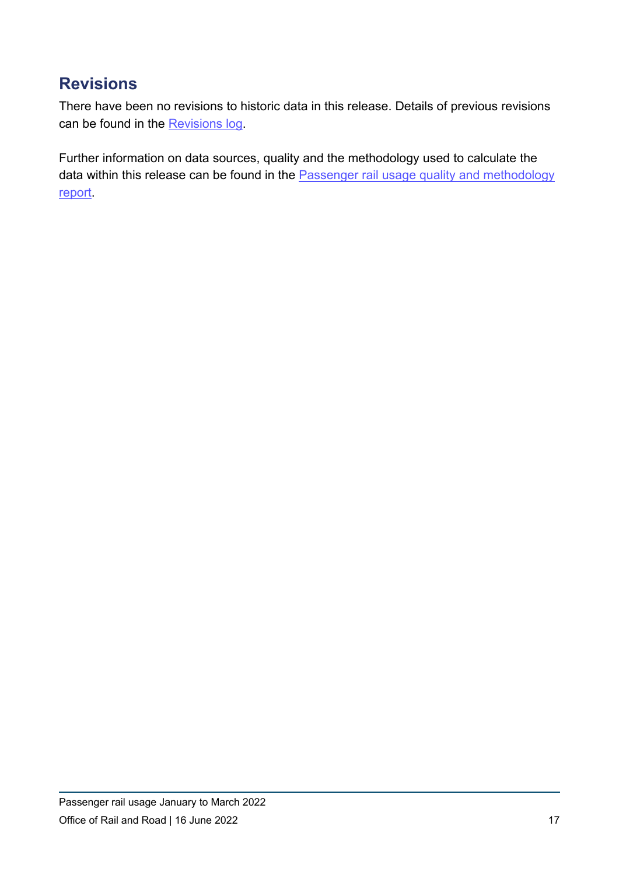## **Revisions**

There have been no revisions to historic data in this release. Details of previous revisions can be found in the [Revisions log.](https://dataportal.orr.gov.uk/footer/revisions-log/)

Further information on data sources, quality and the methodology used to calculate the data within this release can be found in the Passenger rail usage quality and methodology [report.](https://dataportal.orr.gov.uk/media/1234/passenger-usage-quality-report.pdf)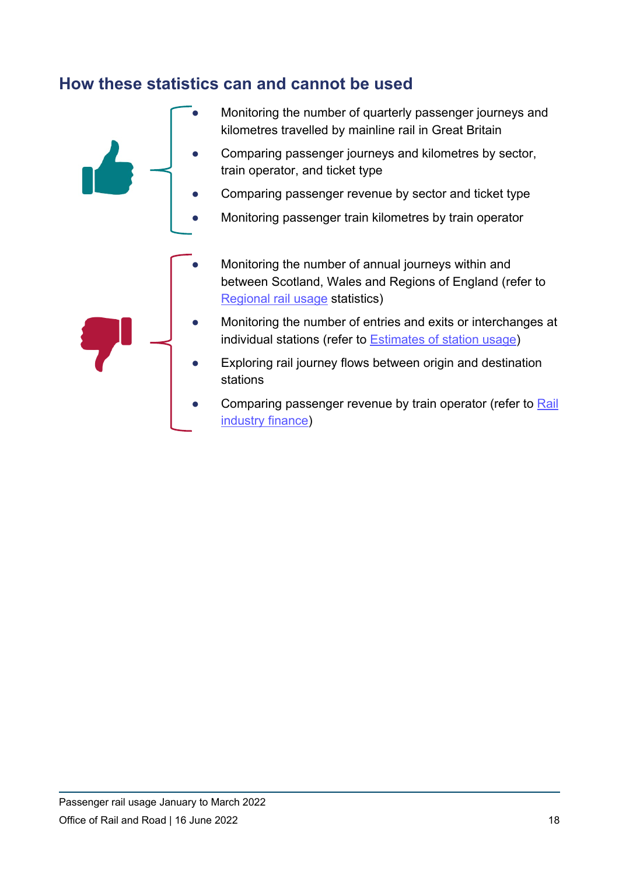## **How these statistics can and cannot be used**

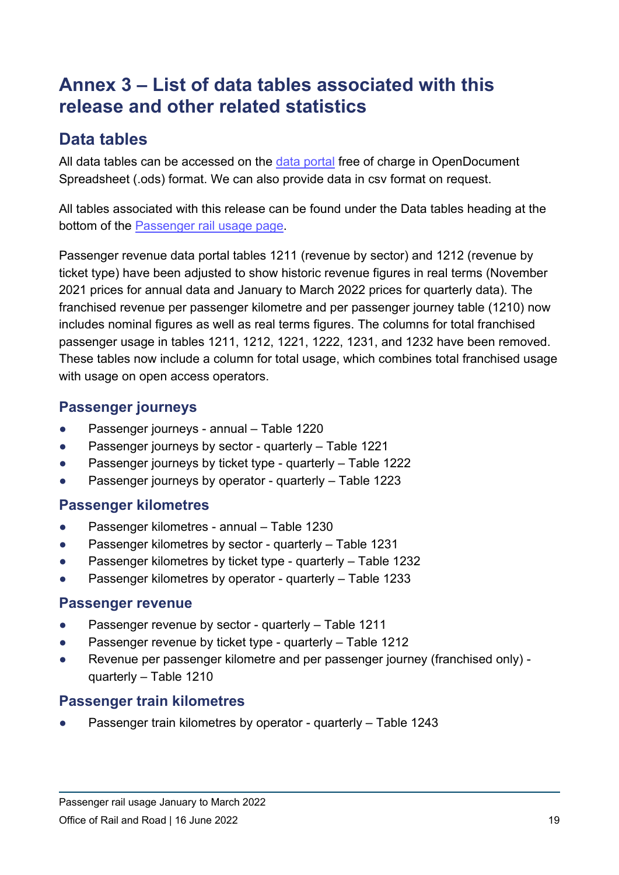## **Annex 3 – List of data tables associated with this release and other related statistics**

## **Data tables**

All data tables can be accessed on the [data portal](https://dataportal.orr.gov.uk/) free of charge in OpenDocument Spreadsheet (.ods) format. We can also provide data in csv format on request.

All tables associated with this release can be found under the Data tables heading at the bottom of the [Passenger rail usage page.](https://dataportal.orr.gov.uk/statistics/usage/passenger-rail-usage)

Passenger revenue data portal tables 1211 (revenue by sector) and 1212 (revenue by ticket type) have been adjusted to show historic revenue figures in real terms (November 2021 prices for annual data and January to March 2022 prices for quarterly data). The franchised revenue per passenger kilometre and per passenger journey table (1210) now includes nominal figures as well as real terms figures. The columns for total franchised passenger usage in tables 1211, 1212, 1221, 1222, 1231, and 1232 have been removed. These tables now include a column for total usage, which combines total franchised usage with usage on open access operators.

## **Passenger journeys**

- Passenger journeys annual Table 1220
- Passenger journeys by sector quarterly Table 1221
- Passenger journeys by ticket type quarterly Table 1222
- Passenger journeys by operator quarterly Table 1223

## **Passenger kilometres**

- Passenger kilometres annual Table 1230
- Passenger kilometres by sector quarterly Table 1231
- Passenger kilometres by ticket type quarterly Table 1232
- Passenger kilometres by operator quarterly Table 1233

### **Passenger revenue**

- Passenger revenue by sector quarterly Table 1211
- Passenger revenue by ticket type quarterly Table 1212
- Revenue per passenger kilometre and per passenger journey (franchised only) quarterly – Table 1210

## **Passenger train kilometres**

Passenger train kilometres by operator - quarterly – Table 1243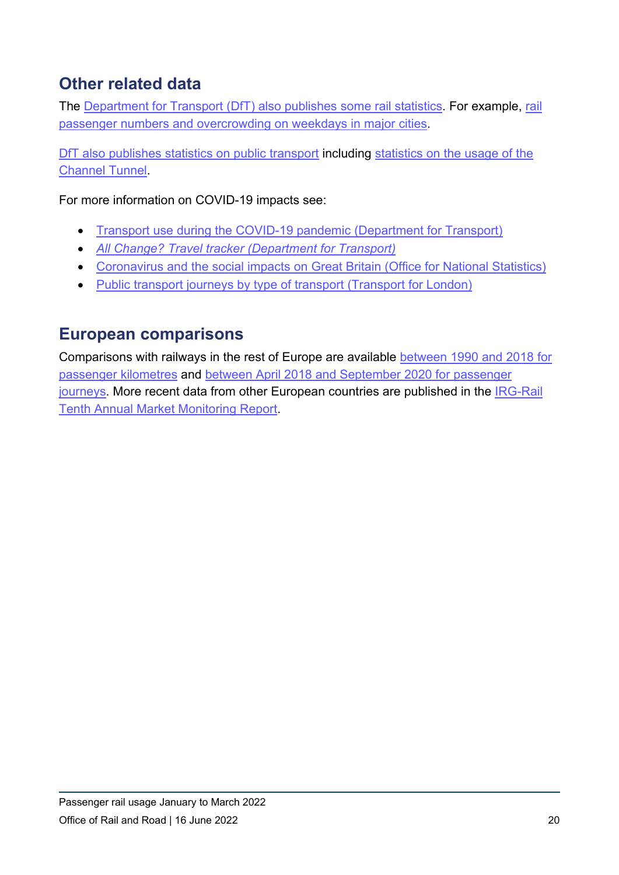## **Other related data**

The [Department for Transport \(DfT\) also publishes](https://www.gov.uk/government/organisations/department-for-transport/series/rail-statistics) some [rail](https://www.gov.uk/government/statistics/rail-passenger-numbers-and-crowding-on-weekdays-in-major-cities-in-england-and-wales-2020) statistics. For example, rail [passenger numbers and overcrowding on weekdays in major cities.](https://www.gov.uk/government/statistics/rail-passenger-numbers-and-crowding-on-weekdays-in-major-cities-in-england-and-wales-2020)

[DfT also publishes statistics on public transport](https://www.gov.uk/government/statistical-data-sets/tsgb06) including [statistics on the usage of the](https://assets.publishing.service.gov.uk/government/uploads/system/uploads/attachment_data/file/761672/rai0108.ods)  [Channel Tunnel.](https://assets.publishing.service.gov.uk/government/uploads/system/uploads/attachment_data/file/761672/rai0108.ods)

For more information on COVID-19 impacts see:

- [Transport use during the COVID-19 pandemic \(Department for Transport\)](https://www.gov.uk/government/statistics/transport-use-during-the-coronavirus-covid-19-pandemic)
- *[All Change? Travel tracker \(Department for Transport\)](https://assets.publishing.service.gov.uk/government/uploads/system/uploads/attachment_data/file/902845/all-change-travel-tracker-wave-1-summary-for-the-department-for-transport.pdf)*
- [Coronavirus and the social impacts on Great Britain \(Office for National Statistics\)](https://www.ons.gov.uk/peoplepopulationandcommunity/healthandsocialcare/healthandwellbeing/bulletins/coronavirusandthesocialimpactsongreatbritain/4september2020)
- [Public transport journeys by type of transport \(Transport for London\)](https://data.london.gov.uk/dataset/public-transport-journeys-type-transport)

## **European comparisons**

Comparisons with railways in the rest of Europe are available [between 1990 and](https://ec.europa.eu/transport/media/media-corner/publications_en) 2018 for [passenger kilometres](https://ec.europa.eu/transport/media/media-corner/publications_en) and [between April 2018 and September 2020 for passenger](https://ec.europa.eu/eurostat/databrowser/view/rail_pa_quartal/default/table?lang=en)  [journeys.](https://ec.europa.eu/eurostat/databrowser/view/rail_pa_quartal/default/table?lang=en) More recent data from other European countries are published in the [IRG-Rail](https://irg-rail.eu/irg/news/press-release/362,Tenth-Annual-Market-Monitoring-Report-published.html)  [Tenth Annual Market Monitoring Report.](https://irg-rail.eu/irg/news/press-release/362,Tenth-Annual-Market-Monitoring-Report-published.html)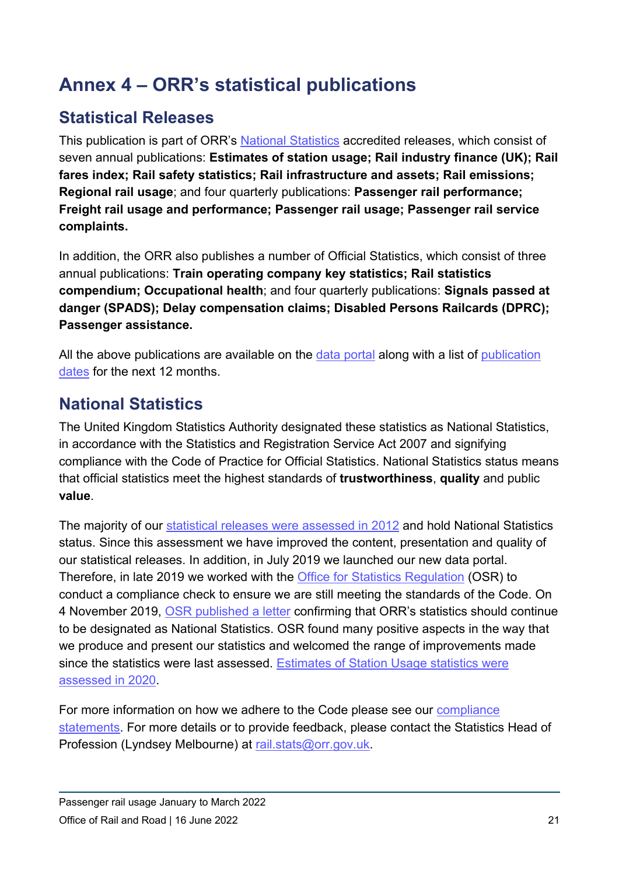# **Annex 4 – ORR's statistical publications**

## **Statistical Releases**

This publication is part of ORR's [National Statistics](https://uksa.statisticsauthority.gov.uk/about-the-authority/uk-statistical-system/types-of-official-statistics/) accredited releases, which consist of seven annual publications: **Estimates of station usage; Rail industry finance (UK); Rail fares index; Rail safety statistics; Rail infrastructure and assets; Rail emissions; Regional rail usage**; and four quarterly publications: **Passenger rail performance; Freight rail usage and performance; Passenger rail usage; Passenger rail service complaints.**

In addition, the ORR also publishes a number of Official Statistics, which consist of three annual publications: **Train operating company key statistics; Rail statistics compendium; Occupational health**; and four quarterly publications: **Signals passed at danger (SPADS); Delay compensation claims; Disabled Persons Railcards (DPRC); Passenger assistance.**

All the above publications are available on the [data portal](https://dataportal.orr.gov.uk/) along with a list of publication [dates](https://dataportal.orr.gov.uk/publication-dates-for-statistics/) for the next 12 months.

## **National Statistics**

The United Kingdom Statistics Authority designated these statistics as National Statistics, in accordance with the Statistics and Registration Service Act 2007 and signifying compliance with the Code of Practice for Official Statistics. National Statistics status means that official statistics meet the highest standards of **trustworthiness**, **quality** and public **value**.

The majority of our [statistical releases were assessed in 2012](https://dataportal.orr.gov.uk/media/1334/uksa-assessment.pdf) and hold National Statistics status. Since this assessment we have improved the content, presentation and quality of our statistical releases. In addition, in July 2019 we launched our new data portal. Therefore, in late 2019 we worked with the [Office for Statistics Regulation](https://osr.statisticsauthority.gov.uk/) (OSR) to conduct a compliance check to ensure we are still meeting the standards of the Code. On 4 November 2019, [OSR published a letter](https://www.statisticsauthority.gov.uk/correspondence/compliance-check-office-rail-and-road-statistics/) confirming that ORR's statistics should continue to be designated as National Statistics. OSR found many positive aspects in the way that we produce and present our statistics and welcomed the range of improvements made since the statistics were last assessed. [Estimates of Station Usage statistics were](https://osr.statisticsauthority.gov.uk/publication/assessment-report-estimates-of-station-usage-produced-by-the-office-of-rail-and-road)  [assessed in 2020.](https://osr.statisticsauthority.gov.uk/publication/assessment-report-estimates-of-station-usage-produced-by-the-office-of-rail-and-road)

For more information on how we adhere to the Code please see our [compliance](https://dataportal.orr.gov.uk/code-of-practice/)  [statements.](https://dataportal.orr.gov.uk/code-of-practice/) For more details or to provide feedback, please contact the Statistics Head of Profession (Lyndsey Melbourne) at [rail.stats@orr.gov.uk.](mailto:rail.stats@orr.gov.uk)